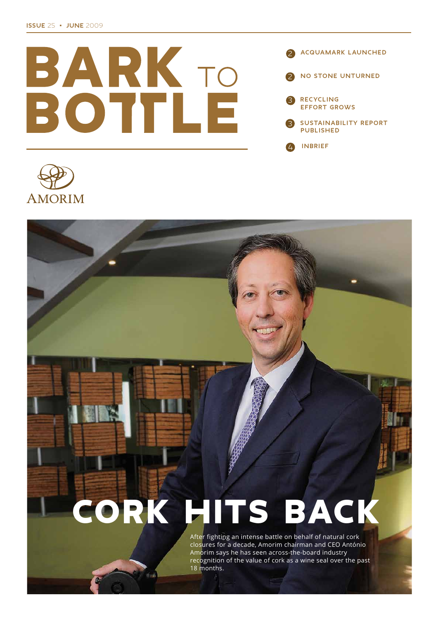



# CORK HITS BACK

After fighting an intense battle on behalf of natural cork closures for a decade, Amorim chairman and CEO António Amorim says he has seen across-the-board industry recognition of the value of cork as a wine seal over the past 18 months.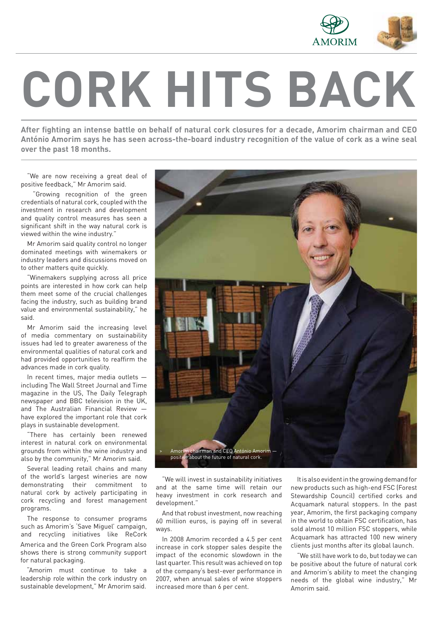

# **CORK HITS BACK**

After fighting an intense battle on behalf of natural cork closures for a decade, Amorim chairman and CEO António Amorim says he has seen across-the-board industry recognition of the value of cork as a wine seal **over the past 18 months.**

"We are now receiving a great deal of positive feedback," Mr Amorim said.

"Growing recognition of the green credentials of natural cork, coupled with the investment in research and development and quality control measures has seen a significant shift in the way natural cork is viewed within the wine industry."

Mr Amorim said quality control no longer dominated meetings with winemakers or industry leaders and discussions moved on to other matters quite quickly.

"Winemakers supplying across all price points are interested in how cork can help them meet some of the crucial challenges facing the industry, such as building brand value and environmental sustainability," he said.

Mr Amorim said the increasing level of media commentary on sustainability issues had led to greater awareness of the environmental qualities of natural cork and had provided opportunities to reaffirm the advances made in cork quality.

In recent times, major media outlets including The Wall Street Journal and Time magazine in the US, The Daily Telegraph newspaper and BBC television in the UK, and The Australian Financial Review have explored the important role that cork plays in sustainable development.

"There has certainly been renewed interest in natural cork on environmental grounds from within the wine industry and also by the community," Mr Amorim said.

Several leading retail chains and many of the world's largest wineries are now demonstrating their commitment to natural cork by actively participating in cork recycling and forest management programs.

The response to consumer programs such as Amorim's 'Save Miguel' campaign, and recycling initiatives like ReCork America and the Green Cork Program also shows there is strong community support for natural packaging.

"Amorim must continue to take a leadership role within the cork industry on sustainable development," Mr Amorim said.



"We will invest in sustainability initiatives and at the same time will retain our heavy investment in cork research and development."

And that robust investment, now reaching 60 million euros, is paying off in several ways.

In 2008 Amorim recorded a 4.5 per cent increase in cork stopper sales despite the impact of the economic slowdown in the last quarter. This result was achieved on top of the company's best-ever performance in 2007, when annual sales of wine stoppers increased more than 6 per cent.

It is also evident in the growing demand for new products such as high-end FSC (Forest Stewardship Council) certified corks and Acquamark natural stoppers. In the past year, Amorim, the first packaging company in the world to obtain FSC certification, has sold almost 10 million FSC stoppers, while Acquamark has attracted 100 new winery clients just months after its global launch.

"We still have work to do, but today we can be positive about the future of natural cork and Amorim's ability to meet the changing needs of the global wine industry," Mr Amorim said.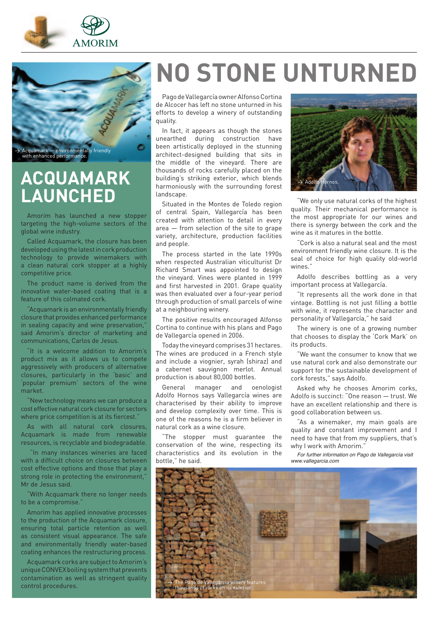



# **ACQUAMARK LAUNCHED**

Amorim has launched a new stopper targeting the high-volume sectors of the global wine industry.

Called Acquamark, the closure has been developed using the latest in cork production technology to provide winemakers with a clean natural cork stopper at a highly competitive price.

The product name is derived from the innovative water-based coating that is a feature of this colmated cork.

"Acquamark is an environmentally friendly closure that provides enhanced performance in sealing capacity and wine preservation," said Amorim's director of marketing and communications, Carlos de Jesus.

"It is a welcome addition to Amorim's product mix as it allows us to compete aggressively with producers of alternative closures, particularly in the 'basic' and 'popular premium' sectors of the wine market.

"New technology means we can produce a cost effective natural cork closure for sectors where price competition is at its fiercest."

As with all natural cork closures, Acquamark is made from renewable resources, is recyclable and biodegradable.

 "In many instances wineries are faced with a difficult choice on closures between cost effective options and those that play a strong role in protecting the environment," Mr de Jesus said.

With Acquamark there no longer needs to be a compromise."

Amorim has applied innovative processes to the production of the Acquamark closure, ensuring total particle retention as well as consistent visual appearance. The safe and environmentally friendly water-based coating enhances the restructuring process.

Acquamark corks are subject to Amorim's unique CONVEX boiling system that prevents contamination as well as stringent quality control procedures.

# **NO STONE UNTURNED**

Pago de Vallegarcía owner Alfonso Cortina de Alcocer has left no stone unturned in his efforts to develop a winery of outstanding quality.

In fact, it appears as though the stones unearthed during construction have been artistically deployed in the stunning architect-designed building that sits in the middle of the vineyard. There are thousands of rocks carefully placed on the building's striking exterior, which blends harmoniously with the surrounding forest landscape.

Situated in the Montes de Toledo region of central Spain, Vallegarcía has been created with attention to detail in every area — from selection of the site to grape variety, architecture, production facilities and people.

The process started in the late 1990s when respected Australian viticulturist Dr Richard Smart was appointed to design the vineyard. Vines were planted in 1999 and first harvested in 2001. Grape quality was then evaluated over a four-year period through production of small parcels of wine at a neighbouring winery.

The positive results encouraged Alfonso Cortina to continue with his plans and Pago de Vallegarcía opened in 2006.

Today the vineyard comprises 31 hectares. The wines are produced in a French style and include a viognier, syrah (shiraz) and a cabernet sauvignon merlot. Annual production is about 80,000 bottles.

General manager and oenologist Adolfo Hornos says Vallegarcía wines are characterised by their ability to improve and develop complexity over time. This is one of the reasons he is a firm believer in natural cork as a wine closure.

"The stopper must guarantee the conservation of the wine, respecting its characteristics and its evolution in the bottle," he said.



"We only use natural corks of the highest quality. Their mechanical performance is the most appropriate for our wines and there is synergy between the cork and the wine as it matures in the bottle.

"Cork is also a natural seal and the most environment friendly wine closure. It is the seal of choice for high quality old-world wines."

Adolfo describes bottling as a very important process at Vallegarcía.

"It represents all the work done in that vintage. Bottling is not just filling a bottle with wine, it represents the character and personality of Vallegarcía," he said

The winery is one of a growing number that chooses to display the 'Cork Mark' on its products.

"We want the consumer to know that we use natural cork and also demonstrate our support for the sustainable development of cork forests," says Adolfo.

Asked why he chooses Amorim corks, Adolfo is succinct: "One reason — trust. We have an excellent relationship and there is good collaboration between us.

"As a winemaker, my main goals are quality and constant improvement and I need to have that from my suppliers, that's why I work with Amorim."

...<br>For further information on Pago de Vallegarcía visit www.vallegarcia.com

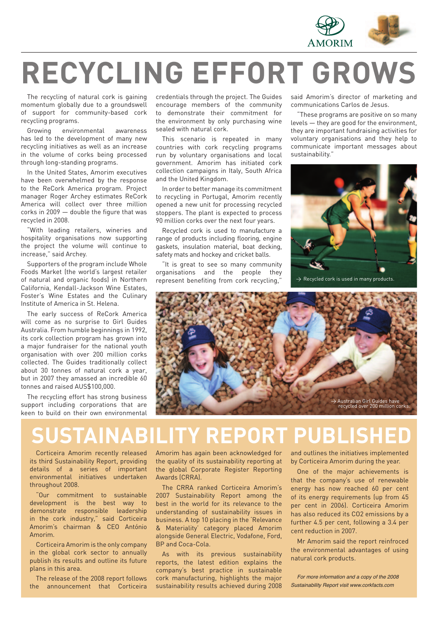

# **RECYCLING EFFORT GROWS**

The recycling of natural cork is gaining momentum globally due to a groundswell of support for community-based cork recycling programs.

Growing environmental awareness has led to the development of many new recycling initiatives as well as an increase in the volume of corks being processed through long-standing programs.

In the United States, Amorim executives have been overwhelmed by the response to the ReCork America program. Project manager Roger Archey estimates ReCork America will collect over three million corks in 2009 — double the figure that was recycled in 2008.

"With leading retailers, wineries and hospitality organisations now supporting the project the volume will continue to increase," said Archey.

Supporters of the program include Whole Foods Market (the world's largest retailer of natural and organic foods) in Northern California, Kendall-Jackson Wine Estates, Foster's Wine Estates and the Culinary Institute of America in St. Helena.

The early success of ReCork America will come as no surprise to Girl Guides Australia. From humble beginnings in 1992, its cork collection program has grown into a major fundraiser for the national youth organisation with over 200 million corks collected. The Guides traditionally collect about 30 tonnes of natural cork a year, but in 2007 they amassed an incredible 60 tonnes and raised AUS\$100,000.

The recycling effort has strong business support including corporations that are keen to build on their own environmental credentials through the project. The Guides encourage members of the community to demonstrate their commitment for the environment by only purchasing wine sealed with natural cork.

This scenario is repeated in many countries with cork recycling programs run by voluntary organisations and local government. Amorim has initiated cork collection campaigns in Italy, South Africa and the United Kingdom.

In order to better manage its commitment to recycling in Portugal, Amorim recently opened a new unit for processing recycled stoppers. The plant is expected to process 90 million corks over the next four years.

Recycled cork is used to manufacture a range of products including flooring, engine gaskets, insulation material, boat decking, safety mats and hockey and cricket balls.

"It is great to see so many community organisations and the people they represent benefiting from cork recycling.

said Amorim's director of marketing and communications Carlos de Jesus.

"These programs are positive on so many levels — they are good for the environment, they are important fundraising activities for voluntary organisations and they help to communicate important messages about sustainability."





# **SUSTAINABILITY REPORT PUBLISHE**

Corticeira Amorim recently released its third Sustainability Report, providing details of a series of important environmental initiatives undertaken throughout 2008.

"Our commitment to sustainable development is the best way to demonstrate responsible leadership in the cork industry," said Corticeira Amorim's chairman & CEO António Amorim.

Corticeira Amorim is the only company in the global cork sector to annually publish its results and outline its future plans in this area.

The release of the 2008 report follows the announcement that Corticeira Amorim has again been acknowledged for the quality of its sustainability reporting at the global Corporate Register Reporting Awards (CRRA).

The CRRA ranked Corticeira Amorim's 2007 Sustainability Report among the best in the world for its relevance to the understanding of sustainability issues in business. A top 10 placing in the 'Relevance & Materiality' category placed Amorim alongside General Electric, Vodafone, Ford, BP and Coca-Cola.

As with its previous sustainability reports, the latest edition explains the company's best practice in sustainable cork manufacturing, highlights the major sustainability results achieved during 2008 and outlines the initiatives implemented by Corticeira Amorim during the year.

One of the major achievements is that the company's use of renewable energy has now reached 60 per cent of its energy requirements (up from 45 per cent in 2006). Corticeira Amorim has also reduced its CO2 emissions by a further 4.5 per cent, following a 3.4 per cent reduction in 2007.

Mr Amorim said the report reinfroced the environmental advantages of using natural cork products.

For more information and a copy of the  $2008$ Sustainability Report visit www.corkfacts.com